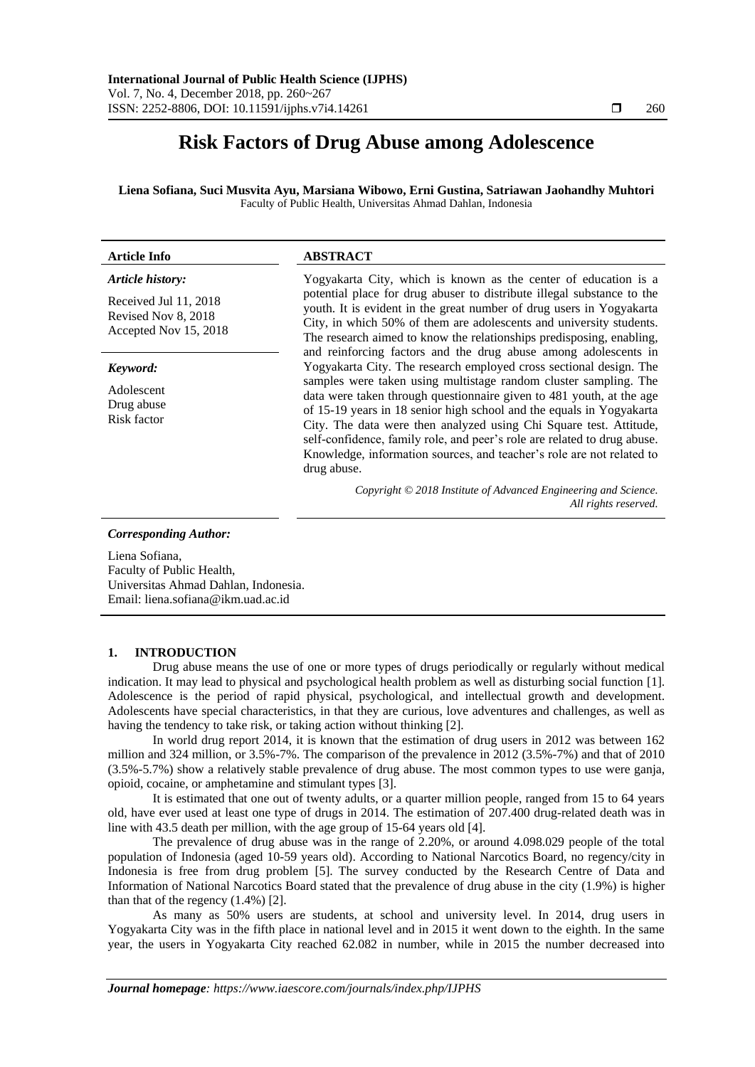# **Risk Factors of Drug Abuse among Adolescence**

**Liena Sofiana, Suci Musvita Ayu, Marsiana Wibowo, Erni Gustina, Satriawan Jaohandhy Muhtori** Faculty of Public Health, Universitas Ahmad Dahlan, Indonesia

| <b>Article Info</b>                                                                       | <b>ABSTRACT</b>                                                                                                                                                                                                                                                                                                                                                                                                                                                                                                                  |
|-------------------------------------------------------------------------------------------|----------------------------------------------------------------------------------------------------------------------------------------------------------------------------------------------------------------------------------------------------------------------------------------------------------------------------------------------------------------------------------------------------------------------------------------------------------------------------------------------------------------------------------|
| Article history:<br>Received Jul 11, 2018<br>Revised Nov 8, 2018<br>Accepted Nov 15, 2018 | Yogyakarta City, which is known as the center of education is a<br>potential place for drug abuser to distribute illegal substance to the<br>youth. It is evident in the great number of drug users in Yogyakarta<br>City, in which 50% of them are adolescents and university students.<br>The research aimed to know the relationships predisposing, enabling,<br>and reinforcing factors and the drug abuse among adolescents in                                                                                              |
| Keyword:<br>Adolescent<br>Drug abuse<br>Risk factor                                       | Yogyakarta City. The research employed cross sectional design. The<br>samples were taken using multistage random cluster sampling. The<br>data were taken through questionnaire given to 481 youth, at the age<br>of 15-19 years in 18 senior high school and the equals in Yogyakarta<br>City. The data were then analyzed using Chi Square test. Attitude,<br>self-confidence, family role, and peer's role are related to drug abuse.<br>Knowledge, information sources, and teacher's role are not related to<br>drug abuse. |
|                                                                                           | Copyright © 2018 Institute of Advanced Engineering and Science.<br>All rights reserved.                                                                                                                                                                                                                                                                                                                                                                                                                                          |

*Corresponding Author:*

Liena Sofiana, Faculty of Public Health, Universitas Ahmad Dahlan, Indonesia. Email: liena.sofiana@ikm.uad.ac.id

## **1. INTRODUCTION**

Drug abuse means the use of one or more types of drugs periodically or regularly without medical indication. It may lead to physical and psychological health problem as well as disturbing social function [1]. Adolescence is the period of rapid physical, psychological, and intellectual growth and development. Adolescents have special characteristics, in that they are curious, love adventures and challenges, as well as having the tendency to take risk, or taking action without thinking [2].

In world drug report 2014, it is known that the estimation of drug users in 2012 was between 162 million and 324 million, or 3.5%-7%. The comparison of the prevalence in 2012 (3.5%-7%) and that of 2010 (3.5%-5.7%) show a relatively stable prevalence of drug abuse. The most common types to use were ganja, opioid, cocaine, or amphetamine and stimulant types [3].

It is estimated that one out of twenty adults, or a quarter million people, ranged from 15 to 64 years old, have ever used at least one type of drugs in 2014. The estimation of 207.400 drug-related death was in line with 43.5 death per million, with the age group of 15-64 years old [4].

The prevalence of drug abuse was in the range of 2.20%, or around 4.098.029 people of the total population of Indonesia (aged 10-59 years old). According to National Narcotics Board, no regency/city in Indonesia is free from drug problem [5]. The survey conducted by the Research Centre of Data and Information of National Narcotics Board stated that the prevalence of drug abuse in the city (1.9%) is higher than that of the regency  $(1.4\%)$  [2].

As many as 50% users are students, at school and university level. In 2014, drug users in Yogyakarta City was in the fifth place in national level and in 2015 it went down to the eighth. In the same year, the users in Yogyakarta City reached 62.082 in number, while in 2015 the number decreased into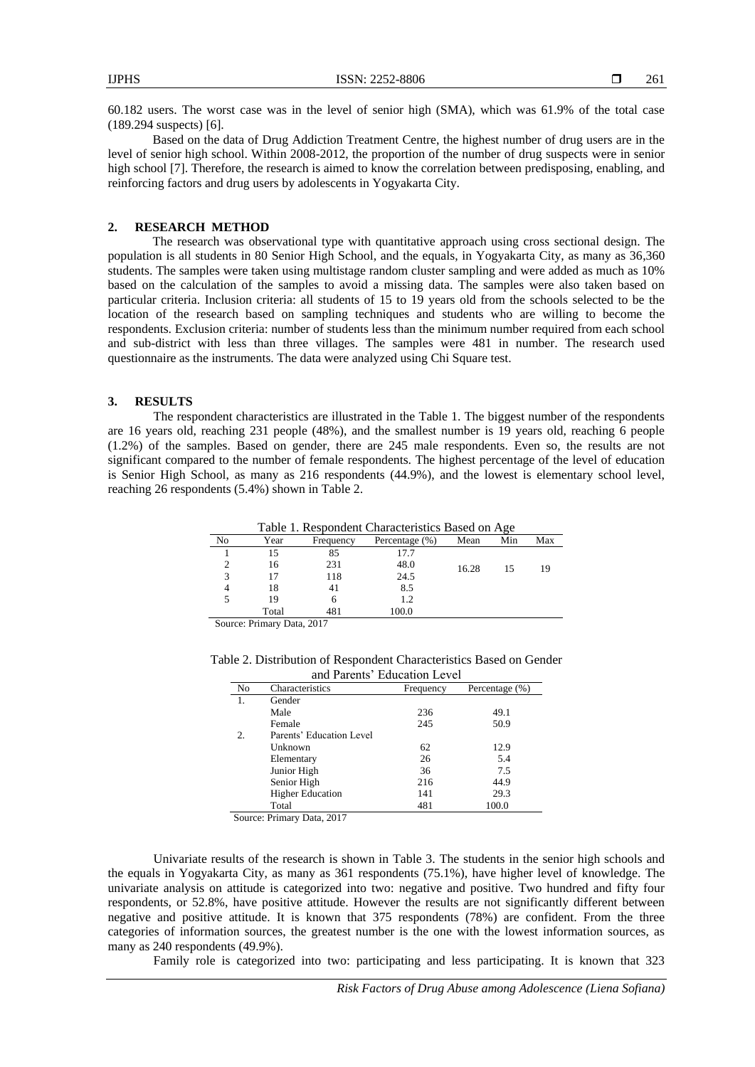60.182 users. The worst case was in the level of senior high (SMA), which was 61.9% of the total case (189.294 suspects) [6].

Based on the data of Drug Addiction Treatment Centre, the highest number of drug users are in the level of senior high school. Within 2008-2012, the proportion of the number of drug suspects were in senior high school [7]. Therefore, the research is aimed to know the correlation between predisposing, enabling, and reinforcing factors and drug users by adolescents in Yogyakarta City.

### **2. RESEARCH METHOD**

The research was observational type with quantitative approach using cross sectional design. The population is all students in 80 Senior High School, and the equals, in Yogyakarta City, as many as 36,360 students. The samples were taken using multistage random cluster sampling and were added as much as 10% based on the calculation of the samples to avoid a missing data. The samples were also taken based on particular criteria. Inclusion criteria: all students of 15 to 19 years old from the schools selected to be the location of the research based on sampling techniques and students who are willing to become the respondents. Exclusion criteria: number of students less than the minimum number required from each school and sub-district with less than three villages. The samples were 481 in number. The research used questionnaire as the instruments. The data were analyzed using Chi Square test.

## **3. RESULTS**

The respondent characteristics are illustrated in the Table 1. The biggest number of the respondents are 16 years old, reaching 231 people (48%), and the smallest number is 19 years old, reaching 6 people (1.2%) of the samples. Based on gender, there are 245 male respondents. Even so, the results are not significant compared to the number of female respondents. The highest percentage of the level of education is Senior High School, as many as 216 respondents (44.9%), and the lowest is elementary school level, reaching 26 respondents (5.4%) shown in Table 2.

Table 1. Respondent Characteristics Based on Age

| Table 1. Respondent Characteristics Dased on Fige |       |           |                    |       |     |     |
|---------------------------------------------------|-------|-----------|--------------------|-------|-----|-----|
| No                                                | Year  | Frequency | Percentage $(\% )$ | Mean  | Min | Max |
|                                                   |       | 85        | 17.7               |       |     |     |
|                                                   | 16    | 231       | 48.0               | 16.28 | 15  | 19  |
|                                                   |       | 118       | 24.5               |       |     |     |
|                                                   | 18    | 41        | 8.5                |       |     |     |
|                                                   | 19    | n         | 1.2                |       |     |     |
|                                                   | Total | 481       | 100.0              |       |     |     |

Source: Primary Data, 2017

| Table 2. Distribution of Respondent Characteristics Based on Gender |  |
|---------------------------------------------------------------------|--|
| and Darante' Education Laval                                        |  |

|                |                          | and Faichts Education Level |                |
|----------------|--------------------------|-----------------------------|----------------|
| N <sub>0</sub> | Characteristics          | Frequency                   | Percentage (%) |
|                | Gender                   |                             |                |
|                | Male                     | 236                         | 49.1           |
|                | Female                   | 245                         | 50.9           |
| 2.             | Parents' Education Level |                             |                |
|                | Unknown                  | 62                          | 12.9           |
|                | Elementary               | 26                          | 5.4            |
|                | Junior High              | 36                          | 7.5            |
|                | Senior High              | 216                         | 44.9           |
|                | <b>Higher Education</b>  | 141                         | 29.3           |
|                | Total                    | 481                         | 100.0          |

Source: Primary Data, 2017

Univariate results of the research is shown in Table 3. The students in the senior high schools and the equals in Yogyakarta City, as many as 361 respondents (75.1%), have higher level of knowledge. The univariate analysis on attitude is categorized into two: negative and positive. Two hundred and fifty four respondents, or 52.8%, have positive attitude. However the results are not significantly different between negative and positive attitude. It is known that 375 respondents (78%) are confident. From the three categories of information sources, the greatest number is the one with the lowest information sources, as many as 240 respondents (49.9%).

Family role is categorized into two: participating and less participating. It is known that 323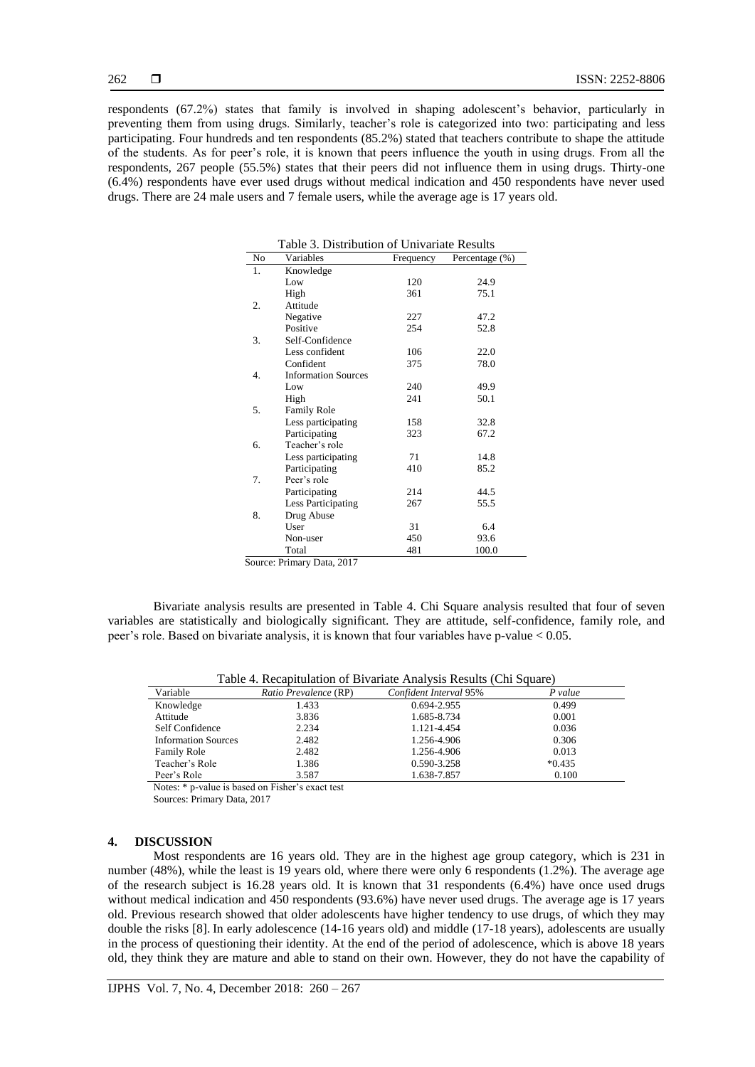respondents (67.2%) states that family is involved in shaping adolescent's behavior, particularly in preventing them from using drugs. Similarly, teacher's role is categorized into two: participating and less participating. Four hundreds and ten respondents (85.2%) stated that teachers contribute to shape the attitude of the students. As for peer's role, it is known that peers influence the youth in using drugs. From all the respondents, 267 people (55.5%) states that their peers did not influence them in using drugs. Thirty-one (6.4%) respondents have ever used drugs without medical indication and 450 respondents have never used drugs. There are 24 male users and 7 female users, while the average age is 17 years old.

| Table 3. Distribution of Univariate Results |                            |           |                |
|---------------------------------------------|----------------------------|-----------|----------------|
| N <sub>0</sub>                              | Variables                  | Frequency | Percentage (%) |
| 1.                                          | Knowledge                  |           |                |
|                                             | Low                        | 120       | 24.9           |
|                                             | High                       | 361       | 75.1           |
| 2.                                          | Attitude                   |           |                |
|                                             | Negative                   | 227       | 47.2           |
|                                             | Positive                   | 254       | 52.8           |
| 3.                                          | Self-Confidence            |           |                |
|                                             | Less confident             | 106       | 22.0           |
|                                             | Confident                  | 375       | 78.0           |
| 4.                                          | <b>Information Sources</b> |           |                |
|                                             | Low                        | 240       | 49.9           |
|                                             | High                       | 241       | 50.1           |
| 5.                                          | <b>Family Role</b>         |           |                |
|                                             | Less participating         | 158       | 32.8           |
|                                             | Participating              | 323       | 67.2           |
| б.                                          | Teacher's role             |           |                |
|                                             | Less participating         | 71        | 14.8           |
|                                             | Participating              | 410       | 85.2           |
| 7.                                          | Peer's role                |           |                |
|                                             | Participating              | 214       | 44.5           |
|                                             | Less Participating         | 267       | 55.5           |
| 8.                                          | Drug Abuse                 |           |                |
|                                             | User                       | 31        | 6.4            |
|                                             | Non-user                   | 450       | 93.6           |
|                                             | Total                      | 481       | 100.0          |
|                                             | Source: Primary Data, 2017 |           |                |

Bivariate analysis results are presented in Table 4. Chi Square analysis resulted that four of seven variables are statistically and biologically significant. They are attitude, self-confidence, family role, and peer's role. Based on bivariate analysis, it is known that four variables have p-value < 0.05.

| Table 4. Recapitulation of Bivariate Analysis Results (Chi Square) |  |
|--------------------------------------------------------------------|--|
|--------------------------------------------------------------------|--|

| Variable                   | Ratio Prevalence (RP) | Confident Interval 95% | P value  |
|----------------------------|-----------------------|------------------------|----------|
| Knowledge                  | 1.433                 | 0.694-2.955            | 0.499    |
| Attitude                   | 3.836                 | 1.685-8.734            | 0.001    |
| Self Confidence            | 2.234                 | 1.121-4.454            | 0.036    |
| <b>Information Sources</b> | 2.482                 | 1.256-4.906            | 0.306    |
| <b>Family Role</b>         | 2.482                 | 1.256-4.906            | 0.013    |
| Teacher's Role             | 1.386                 | 0.590-3.258            | $*0.435$ |
| Peer's Role                | 3.587                 | 1.638-7.857            | 0.100    |

Notes: \* p-value is based on Fisher's exact test

Sources: Primary Data, 2017

## **4. DISCUSSION**

Most respondents are 16 years old. They are in the highest age group category, which is 231 in number (48%), while the least is 19 years old, where there were only 6 respondents (1.2%). The average age of the research subject is 16.28 years old. It is known that 31 respondents (6.4%) have once used drugs without medical indication and 450 respondents (93.6%) have never used drugs. The average age is 17 years old. Previous research showed that older adolescents have higher tendency to use drugs, of which they may double the risks [8]. In early adolescence (14-16 years old) and middle (17-18 years), adolescents are usually in the process of questioning their identity. At the end of the period of adolescence, which is above 18 years old, they think they are mature and able to stand on their own. However, they do not have the capability of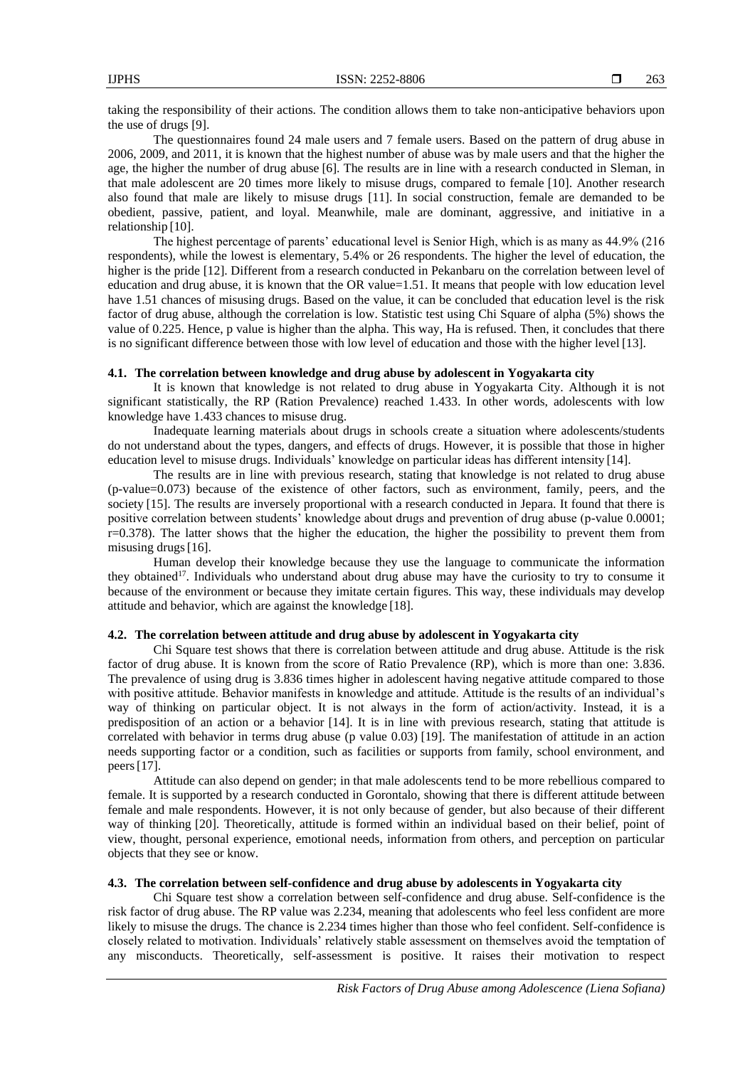taking the responsibility of their actions. The condition allows them to take non-anticipative behaviors upon the use of drugs [9].

The questionnaires found 24 male users and 7 female users. Based on the pattern of drug abuse in 2006, 2009, and 2011, it is known that the highest number of abuse was by male users and that the higher the age, the higher the number of drug abuse [6]. The results are in line with a research conducted in Sleman, in that male adolescent are 20 times more likely to misuse drugs, compared to female [10]. Another research also found that male are likely to misuse drugs [11]. In social construction, female are demanded to be obedient, passive, patient, and loyal. Meanwhile, male are dominant, aggressive, and initiative in a relationship [10].

The highest percentage of parents' educational level is Senior High, which is as many as 44.9% (216 respondents), while the lowest is elementary, 5.4% or 26 respondents. The higher the level of education, the higher is the pride [12]. Different from a research conducted in Pekanbaru on the correlation between level of education and drug abuse, it is known that the OR value=1.51. It means that people with low education level have 1.51 chances of misusing drugs. Based on the value, it can be concluded that education level is the risk factor of drug abuse, although the correlation is low. Statistic test using Chi Square of alpha (5%) shows the value of 0.225. Hence, p value is higher than the alpha. This way, Ha is refused. Then, it concludes that there is no significant difference between those with low level of education and those with the higher level [13].

# **4.1. The correlation between knowledge and drug abuse by adolescent in Yogyakarta city**

It is known that knowledge is not related to drug abuse in Yogyakarta City. Although it is not significant statistically, the RP (Ration Prevalence) reached 1.433. In other words, adolescents with low knowledge have 1.433 chances to misuse drug.

Inadequate learning materials about drugs in schools create a situation where adolescents/students do not understand about the types, dangers, and effects of drugs. However, it is possible that those in higher education level to misuse drugs. Individuals' knowledge on particular ideas has different intensity [14].

The results are in line with previous research, stating that knowledge is not related to drug abuse (p-value=0.073) because of the existence of other factors, such as environment, family, peers, and the society [15]. The results are inversely proportional with a research conducted in Jepara. It found that there is positive correlation between students' knowledge about drugs and prevention of drug abuse (p-value 0.0001;  $r=0.378$ ). The latter shows that the higher the education, the higher the possibility to prevent them from misusing drugs [16].

Human develop their knowledge because they use the language to communicate the information they obtained<sup>17</sup>. Individuals who understand about drug abuse may have the curiosity to try to consume it because of the environment or because they imitate certain figures. This way, these individuals may develop attitude and behavior, which are against the knowledge [18].

# **4.2. The correlation between attitude and drug abuse by adolescent in Yogyakarta city**

Chi Square test shows that there is correlation between attitude and drug abuse. Attitude is the risk factor of drug abuse. It is known from the score of Ratio Prevalence (RP), which is more than one: 3.836. The prevalence of using drug is 3.836 times higher in adolescent having negative attitude compared to those with positive attitude. Behavior manifests in knowledge and attitude. Attitude is the results of an individual's way of thinking on particular object. It is not always in the form of action/activity. Instead, it is a predisposition of an action or a behavior [14]. It is in line with previous research, stating that attitude is correlated with behavior in terms drug abuse (p value 0.03) [19]. The manifestation of attitude in an action needs supporting factor or a condition, such as facilities or supports from family, school environment, and peers[17].

Attitude can also depend on gender; in that male adolescents tend to be more rebellious compared to female. It is supported by a research conducted in Gorontalo, showing that there is different attitude between female and male respondents. However, it is not only because of gender, but also because of their different way of thinking [20]. Theoretically, attitude is formed within an individual based on their belief, point of view, thought, personal experience, emotional needs, information from others, and perception on particular objects that they see or know.

# **4.3. The correlation between self-confidence and drug abuse by adolescents in Yogyakarta city**

Chi Square test show a correlation between self-confidence and drug abuse. Self-confidence is the risk factor of drug abuse. The RP value was 2.234, meaning that adolescents who feel less confident are more likely to misuse the drugs. The chance is 2.234 times higher than those who feel confident. Self-confidence is closely related to motivation. Individuals' relatively stable assessment on themselves avoid the temptation of any misconducts. Theoretically, self-assessment is positive. It raises their motivation to respect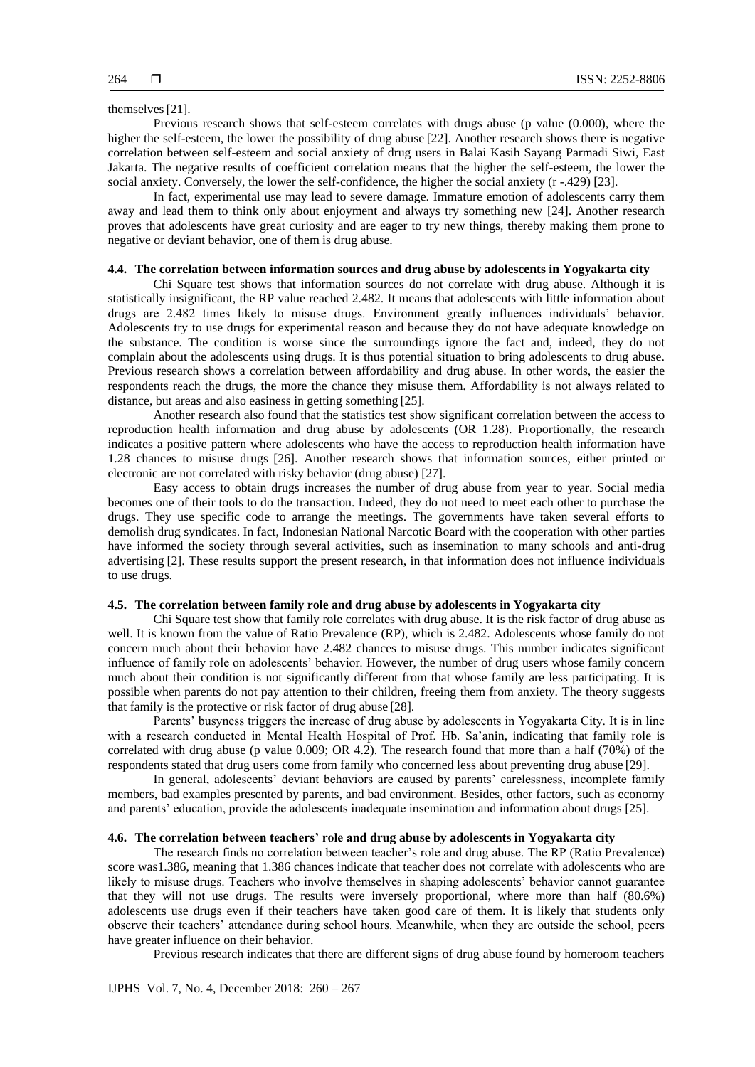themselves[21].

Previous research shows that self-esteem correlates with drugs abuse (p value (0.000), where the higher the self-esteem, the lower the possibility of drug abuse [22]. Another research shows there is negative correlation between self-esteem and social anxiety of drug users in Balai Kasih Sayang Parmadi Siwi, East Jakarta. The negative results of coefficient correlation means that the higher the self-esteem, the lower the social anxiety. Conversely, the lower the self-confidence, the higher the social anxiety (r -.429) [23].

In fact, experimental use may lead to severe damage. Immature emotion of adolescents carry them away and lead them to think only about enjoyment and always try something new [24]. Another research proves that adolescents have great curiosity and are eager to try new things, thereby making them prone to negative or deviant behavior, one of them is drug abuse.

# **4.4. The correlation between information sources and drug abuse by adolescents in Yogyakarta city**

Chi Square test shows that information sources do not correlate with drug abuse. Although it is statistically insignificant, the RP value reached 2.482. It means that adolescents with little information about drugs are 2.482 times likely to misuse drugs. Environment greatly influences individuals' behavior. Adolescents try to use drugs for experimental reason and because they do not have adequate knowledge on the substance. The condition is worse since the surroundings ignore the fact and, indeed, they do not complain about the adolescents using drugs. It is thus potential situation to bring adolescents to drug abuse. Previous research shows a correlation between affordability and drug abuse. In other words, the easier the respondents reach the drugs, the more the chance they misuse them. Affordability is not always related to distance, but areas and also easiness in getting something [25].

Another research also found that the statistics test show significant correlation between the access to reproduction health information and drug abuse by adolescents (OR 1.28). Proportionally, the research indicates a positive pattern where adolescents who have the access to reproduction health information have 1.28 chances to misuse drugs [26]. Another research shows that information sources, either printed or electronic are not correlated with risky behavior (drug abuse) [27].

Easy access to obtain drugs increases the number of drug abuse from year to year. Social media becomes one of their tools to do the transaction. Indeed, they do not need to meet each other to purchase the drugs. They use specific code to arrange the meetings. The governments have taken several efforts to demolish drug syndicates. In fact, Indonesian National Narcotic Board with the cooperation with other parties have informed the society through several activities, such as insemination to many schools and anti-drug advertising [2]. These results support the present research, in that information does not influence individuals to use drugs.

# **4.5. The correlation between family role and drug abuse by adolescents in Yogyakarta city**

Chi Square test show that family role correlates with drug abuse. It is the risk factor of drug abuse as well. It is known from the value of Ratio Prevalence (RP), which is 2.482. Adolescents whose family do not concern much about their behavior have 2.482 chances to misuse drugs. This number indicates significant influence of family role on adolescents' behavior. However, the number of drug users whose family concern much about their condition is not significantly different from that whose family are less participating. It is possible when parents do not pay attention to their children, freeing them from anxiety. The theory suggests that family is the protective or risk factor of drug abuse [28].

Parents' busyness triggers the increase of drug abuse by adolescents in Yogyakarta City. It is in line with a research conducted in Mental Health Hospital of Prof. Hb. Sa'anin, indicating that family role is correlated with drug abuse (p value  $0.009$ ; OR 4.2). The research found that more than a half (70%) of the respondents stated that drug users come from family who concerned less about preventing drug abuse [29].

In general, adolescents' deviant behaviors are caused by parents' carelessness, incomplete family members, bad examples presented by parents, and bad environment. Besides, other factors, such as economy and parents' education, provide the adolescents inadequate insemination and information about drugs [25].

## **4.6. The correlation between teachers' role and drug abuse by adolescents in Yogyakarta city**

The research finds no correlation between teacher's role and drug abuse. The RP (Ratio Prevalence) score was1.386, meaning that 1.386 chances indicate that teacher does not correlate with adolescents who are likely to misuse drugs. Teachers who involve themselves in shaping adolescents' behavior cannot guarantee that they will not use drugs. The results were inversely proportional, where more than half (80.6%) adolescents use drugs even if their teachers have taken good care of them. It is likely that students only observe their teachers' attendance during school hours. Meanwhile, when they are outside the school, peers have greater influence on their behavior.

Previous research indicates that there are different signs of drug abuse found by homeroom teachers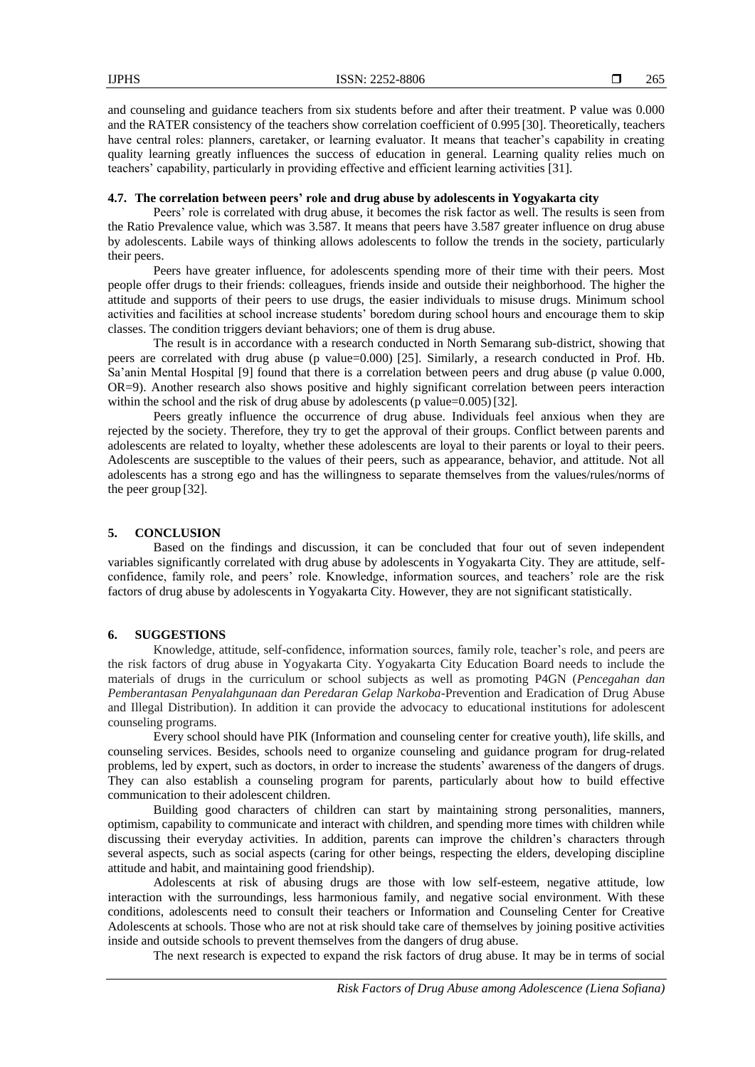and counseling and guidance teachers from six students before and after their treatment. P value was 0.000 and the RATER consistency of the teachers show correlation coefficient of 0.995 [30]. Theoretically, teachers have central roles: planners, caretaker, or learning evaluator. It means that teacher's capability in creating quality learning greatly influences the success of education in general. Learning quality relies much on teachers' capability, particularly in providing effective and efficient learning activities [31].

## **4.7. The correlation between peers' role and drug abuse by adolescents in Yogyakarta city**

Peers' role is correlated with drug abuse, it becomes the risk factor as well. The results is seen from the Ratio Prevalence value, which was 3.587. It means that peers have 3.587 greater influence on drug abuse by adolescents. Labile ways of thinking allows adolescents to follow the trends in the society, particularly their peers.

Peers have greater influence, for adolescents spending more of their time with their peers. Most people offer drugs to their friends: colleagues, friends inside and outside their neighborhood. The higher the attitude and supports of their peers to use drugs, the easier individuals to misuse drugs. Minimum school activities and facilities at school increase students' boredom during school hours and encourage them to skip classes. The condition triggers deviant behaviors; one of them is drug abuse.

The result is in accordance with a research conducted in North Semarang sub-district, showing that peers are correlated with drug abuse (p value=0.000) [25]. Similarly, a research conducted in Prof. Hb. Sa'anin Mental Hospital [9] found that there is a correlation between peers and drug abuse (p value 0.000, OR=9). Another research also shows positive and highly significant correlation between peers interaction within the school and the risk of drug abuse by adolescents (p value= $0.005$ ) [32].

Peers greatly influence the occurrence of drug abuse. Individuals feel anxious when they are rejected by the society. Therefore, they try to get the approval of their groups. Conflict between parents and adolescents are related to loyalty, whether these adolescents are loyal to their parents or loyal to their peers. Adolescents are susceptible to the values of their peers, such as appearance, behavior, and attitude. Not all adolescents has a strong ego and has the willingness to separate themselves from the values/rules/norms of the peer group [32].

# **5. CONCLUSION**

Based on the findings and discussion, it can be concluded that four out of seven independent variables significantly correlated with drug abuse by adolescents in Yogyakarta City. They are attitude, selfconfidence, family role, and peers' role. Knowledge, information sources, and teachers' role are the risk factors of drug abuse by adolescents in Yogyakarta City. However, they are not significant statistically.

## **6. SUGGESTIONS**

Knowledge, attitude, self-confidence, information sources, family role, teacher's role, and peers are the risk factors of drug abuse in Yogyakarta City. Yogyakarta City Education Board needs to include the materials of drugs in the curriculum or school subjects as well as promoting P4GN (*Pencegahan dan Pemberantasan Penyalahgunaan dan Peredaran Gelap Narkoba*-Prevention and Eradication of Drug Abuse and Illegal Distribution). In addition it can provide the advocacy to educational institutions for adolescent counseling programs.

Every school should have PIK (Information and counseling center for creative youth), life skills, and counseling services. Besides, schools need to organize counseling and guidance program for drug-related problems, led by expert, such as doctors, in order to increase the students' awareness of the dangers of drugs. They can also establish a counseling program for parents, particularly about how to build effective communication to their adolescent children.

Building good characters of children can start by maintaining strong personalities, manners, optimism, capability to communicate and interact with children, and spending more times with children while discussing their everyday activities. In addition, parents can improve the children's characters through several aspects, such as social aspects (caring for other beings, respecting the elders, developing discipline attitude and habit, and maintaining good friendship).

Adolescents at risk of abusing drugs are those with low self-esteem, negative attitude, low interaction with the surroundings, less harmonious family, and negative social environment. With these conditions, adolescents need to consult their teachers or Information and Counseling Center for Creative Adolescents at schools. Those who are not at risk should take care of themselves by joining positive activities inside and outside schools to prevent themselves from the dangers of drug abuse.

The next research is expected to expand the risk factors of drug abuse. It may be in terms of social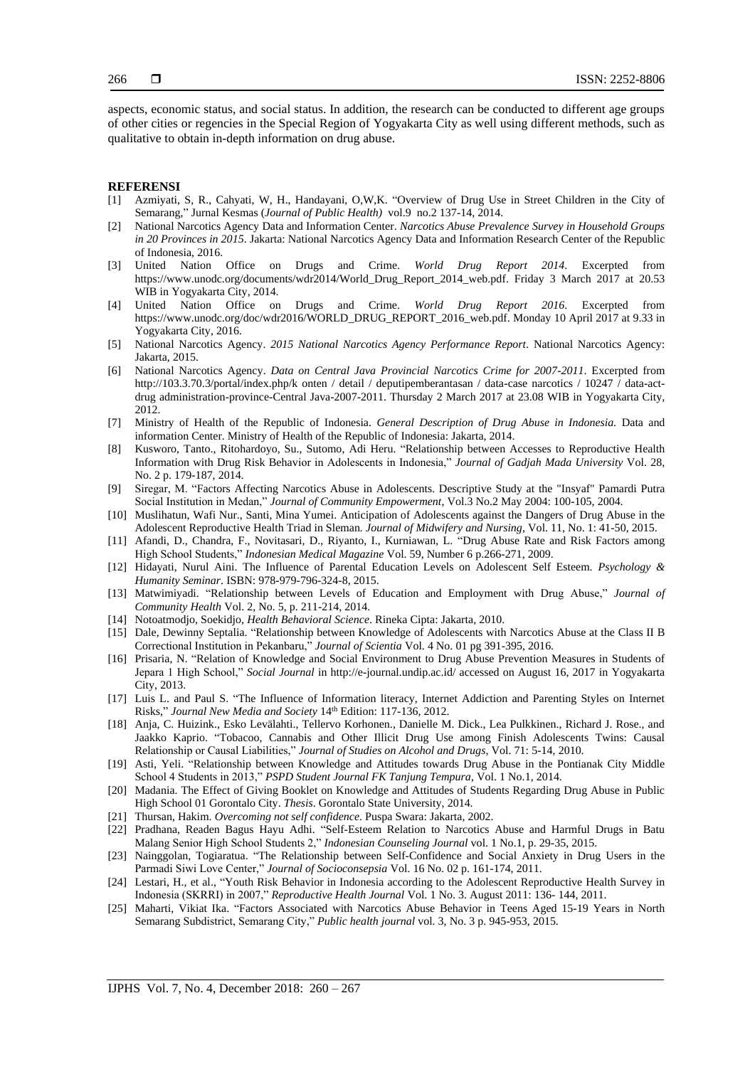aspects, economic status, and social status. In addition, the research can be conducted to different age groups of other cities or regencies in the Special Region of Yogyakarta City as well using different methods, such as qualitative to obtain in-depth information on drug abuse.

### **REFERENSI**

- [1] Azmiyati, S, R., Cahyati, W, H., Handayani, O,W,K. "Overview of Drug Use in Street Children in the City of Semarang," Jurnal Kesmas (*Journal of Public Health)* vol.9 no.2 137-14, 2014.
- [2] National Narcotics Agency Data and Information Center. *Narcotics Abuse Prevalence Survey in Household Groups in 20 Provinces in 2015*. Jakarta: National Narcotics Agency Data and Information Research Center of the Republic of Indonesia, 2016.
- [3] United Nation Office on Drugs and Crime. *World Drug Report 2014*. Excerpted from https://www.unodc.org/documents/wdr2014/World\_Drug\_Report\_2014\_web.pdf. Friday 3 March 2017 at 20.53 WIB in Yogyakarta City, 2014.
- [4] United Nation Office on Drugs and Crime. *World Drug Report 2016*. Excerpted from https://www.unodc.org/doc/wdr2016/WORLD\_DRUG\_REPORT\_2016\_web.pdf. Monday 10 April 2017 at 9.33 in Yogyakarta City, 2016.
- [5] National Narcotics Agency. *2015 National Narcotics Agency Performance Report*. National Narcotics Agency: Jakarta, 2015.
- [6] National Narcotics Agency. *Data on Central Java Provincial Narcotics Crime for 2007-2011*. Excerpted from http://103.3.70.3/portal/index.php/k onten / detail / deputipemberantasan / data-case narcotics / 10247 / data-actdrug administration-province-Central Java-2007-2011. Thursday 2 March 2017 at 23.08 WIB in Yogyakarta City, 2012.
- [7] Ministry of Health of the Republic of Indonesia. *General Description of Drug Abuse in Indonesia.* Data and information Center. Ministry of Health of the Republic of Indonesia: Jakarta, 2014.
- [8] Kusworo, Tanto., Ritohardoyo, Su., Sutomo, Adi Heru. "Relationship between Accesses to Reproductive Health Information with Drug Risk Behavior in Adolescents in Indonesia," *Journal of Gadjah Mada University* Vol. 28, No. 2 p. 179-187, 2014.
- [9] Siregar, M. "Factors Affecting Narcotics Abuse in Adolescents. Descriptive Study at the "Insyaf" Pamardi Putra Social Institution in Medan," *Journal of Community Empowerment*, Vol.3 No.2 May 2004: 100-105, 2004.
- [10] Muslihatun, Wafi Nur., Santi, Mina Yumei. Anticipation of Adolescents against the Dangers of Drug Abuse in the Adolescent Reproductive Health Triad in Sleman*. Journal of Midwifery and Nursing*, Vol. 11, No. 1: 41-50, 2015.
- [11] Afandi, D., Chandra, F., Novitasari, D., Riyanto, I., Kurniawan, L. "Drug Abuse Rate and Risk Factors among High School Students," *Indonesian Medical Magazine* Vol. 59, Number 6 p.266-271, 2009.
- [12] Hidayati, Nurul Aini. The Influence of Parental Education Levels on Adolescent Self Esteem. *Psychology & Humanity Seminar*. ISBN: 978-979-796-324-8, 2015.
- [13] Matwimiyadi. "Relationship between Levels of Education and Employment with Drug Abuse," *Journal of Community Health* Vol. 2, No. 5, p. 211-214, 2014.
- [14] Notoatmodjo, Soekidjo, *Health Behavioral Science*. Rineka Cipta: Jakarta, 2010.
- [15] Dale, Dewinny Septalia. "Relationship between Knowledge of Adolescents with Narcotics Abuse at the Class II B Correctional Institution in Pekanbaru," *Journal of Scientia* Vol. 4 No. 01 pg 391-395, 2016.
- [16] Prisaria, N. "Relation of Knowledge and Social Environment to Drug Abuse Prevention Measures in Students of Jepara 1 High School," *Social Journal* in http://e-journal.undip.ac.id/ accessed on August 16, 2017 in Yogyakarta City, 2013.
- [17] Luis L. and Paul S. "The Influence of Information literacy, Internet Addiction and Parenting Styles on Internet Risks," *Journal New Media and Society* 14th Edition: 117-136, 2012.
- [18] Anja, C. Huizink., Esko Levälahti., Tellervo Korhonen., Danielle M. Dick., Lea Pulkkinen., Richard J. Rose., and Jaakko Kaprio. "Tobacoo, Cannabis and Other Illicit Drug Use among Finish Adolescents Twins: Causal Relationship or Causal Liabilities," *Journal of Studies on Alcohol and Drugs*, Vol. 71: 5-14, 2010.
- [19] Asti, Yeli. "Relationship between Knowledge and Attitudes towards Drug Abuse in the Pontianak City Middle School 4 Students in 2013," *PSPD Student Journal FK Tanjung Tempura*, Vol. 1 No.1, 2014.
- [20] Madania. The Effect of Giving Booklet on Knowledge and Attitudes of Students Regarding Drug Abuse in Public High School 01 Gorontalo City. *Thesis*. Gorontalo State University, 2014.
- [21] Thursan, Hakim. *Overcoming not self confidence*. Puspa Swara: Jakarta, 2002.
- [22] Pradhana, Readen Bagus Hayu Adhi. "Self-Esteem Relation to Narcotics Abuse and Harmful Drugs in Batu Malang Senior High School Students 2," *Indonesian Counseling Journal* vol. 1 No.1, p. 29-35, 2015.
- [23] Nainggolan, Togiaratua. "The Relationship between Self-Confidence and Social Anxiety in Drug Users in the Parmadi Siwi Love Center," *Journal of Socioconsepsia* Vol. 16 No. 02 p. 161-174, 2011.
- [24] Lestari, H., et al., "Youth Risk Behavior in Indonesia according to the Adolescent Reproductive Health Survey in Indonesia (SKRRI) in 2007," *Reproductive Health Journal* Vol. 1 No. 3. August 2011: 136- 144, 2011.
- [25] Maharti, Vikiat Ika. "Factors Associated with Narcotics Abuse Behavior in Teens Aged 15-19 Years in North Semarang Subdistrict, Semarang City," *Public health journal* vol. 3, No. 3 p. 945-953, 2015.